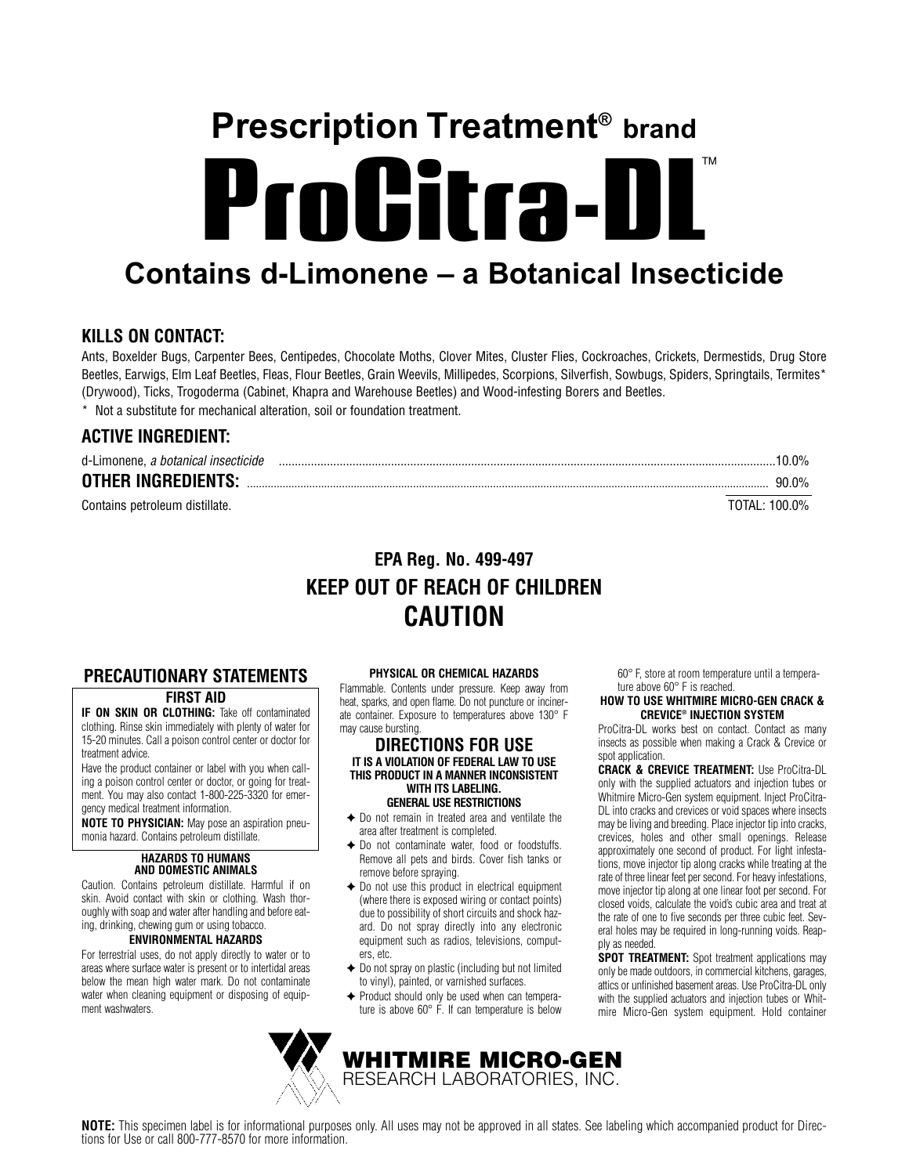# ProGitra-DL **Prescription Treatment® brand**

# **Contains d-Limonene – a Botanical Insecticide**

# **KILLS ON CONTACT:**

Ants, Boxelder Bugs, Carpenter Bees, Centipedes, Chocolate Moths, Clover Mites, Cluster Flies, Cockroaches, Crickets, Dermestids, Drug Store Beetles, Earwigs, Elm Leaf Beetles, Fleas, Flour Beetles, Grain Weevils, Millipedes, Scorpions, Silverfish, Sowbugs, Spiders, Springtails, Termites\* (Drywood), Ticks, Trogoderma (Cabinet, Khapra and Warehouse Beetles) and Wood-infesting Borers and Beetles.

\* Not a substitute for mechanical alteration, soil or foundation treatment.

# **ACTIVE INGREDIENT:**

| d-Limonene, a botanical insecticide |               | $10.0\%$ |
|-------------------------------------|---------------|----------|
| <b>OTHER INGREDIENTS:</b>           |               | $90.0\%$ |
| Contains petroleum distillate.      | TOTAL: 100.0% |          |

# **EPA Reg. No. 499-497 KEEP OUT OF REACH OF CHILDREN CAUTION**

# **PRECAUTIONARY STATEMENTS**

## **FIRST AID**

**IF ON SKIN OR CLOTHING:** Take off contaminated clothing. Rinse skin immediately with plenty of water for 15-20 minutes. Call a poison control center or doctor for treatment advice.

Have the product container or label with you when calling a poison control center or doctor, or going for treatment. You may also contact 1-800-225-3320 for emergency medical treatment information.

**NOTE TO PHYSICIAN:** May pose an aspiration pneumonia hazard. Contains petroleum distillate.

#### **HAZARDS TO HUMANS AND DOMESTIC ANIMALS**

Caution. Contains petroleum distillate. Harmful if on skin. Avoid contact with skin or clothing. Wash thoroughly with soap and water after handling and before eating, drinking, chewing gum or using tobacco.

# **ENVIRONMENTAL HAZARDS**

For terrestrial uses, do not apply directly to water or to areas where surface water is present or to intertidal areas below the mean high water mark. Do not contaminate water when cleaning equipment or disposing of equipment washwaters.

## **PHYSICAL OR CHEMICAL HAZARDS**

Flammable. Contents under pressure. Keep away from heat, sparks, and open flame. Do not puncture or incinerate container. Exposure to temperatures above 130° F may cause bursting.

#### **DIRECTIONS FOR USE IT IS A VIOLATION OF FEDERAL LAW TO USE THIS PRODUCT IN A MANNER INCONSISTENT WITH ITS LABELING. GENERAL USE RESTRICTIONS**

✦ Do not remain in treated area and ventilate the area after treatment is completed.

- ✦ Do not contaminate water, food or foodstuffs. Remove all pets and birds. Cover fish tanks or remove before spraying.
- $\triangle$  Do not use this product in electrical equipment (where there is exposed wiring or contact points) due to possibility of short circuits and shock hazard. Do not spray directly into any electronic equipment such as radios, televisions, computers, etc.
- ✦ Do not spray on plastic (including but not limited to vinyl), painted, or varnished surfaces.
- ✦ Product should only be used when can temperature is above 60° F. If can temperature is below

**WHITMIRE MICRO-GEN** RESEARCH LABORATORIES, INC.

60° F, store at room temperature until a temperature above 60° F is reached.

#### **HOW TO USE WHITMIRE MICRO-GEN CRACK & CREVICE® INJECTION SYSTEM**

ProCitra-DL works best on contact. Contact as many insects as possible when making a Crack & Crevice or spot application.

**CRACK & CREVICE TREATMENT:** Use ProCitra-DL only with the supplied actuators and injection tubes or Whitmire Micro-Gen system equipment. Inject ProCitra-DL into cracks and crevices or void spaces where insects may be living and breeding. Place injector tip into cracks, crevices, holes and other small openings. Release approximately one second of product. For light infestations, move injector tip along cracks while treating at the rate of three linear feet per second. For heavy infestations, move injector tip along at one linear foot per second. For closed voids, calculate the void's cubic area and treat at the rate of one to five seconds per three cubic feet. Several holes may be required in long-running voids. Reapply as needed.

**SPOT TREATMENT:** Spot treatment applications may only be made outdoors, in commercial kitchens, garages, attics or unfinished basement areas. Use ProCitra-DL only with the supplied actuators and injection tubes or Whitmire Micro-Gen system equipment. Hold container

**NOTE:** This specimen label is for informational purposes only. All uses may not be approved in all states. See labeling which accompanied product for Directions for Use or call 800-777-8570 for more information.